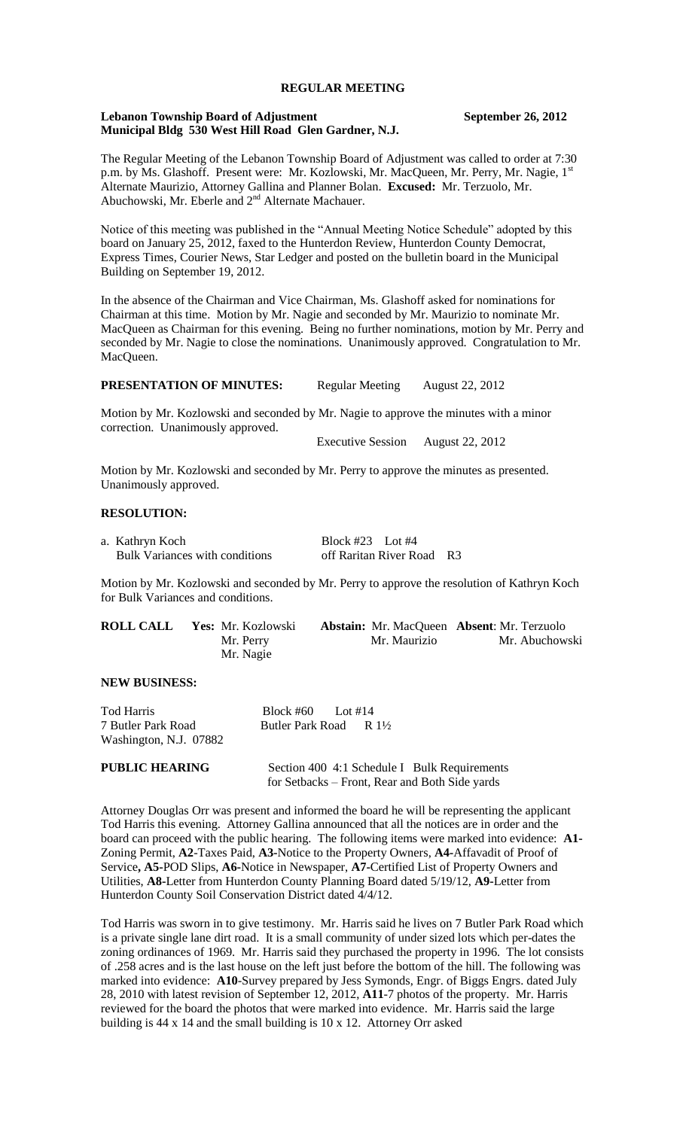# **REGULAR MEETING**

#### **Lebanon Township Board of Adjustment September 26, 2012 Municipal Bldg 530 West Hill Road Glen Gardner, N.J.**

The Regular Meeting of the Lebanon Township Board of Adjustment was called to order at 7:30 p.m. by Ms. Glashoff. Present were: Mr. Kozlowski, Mr. MacQueen, Mr. Perry, Mr. Nagie, 1st Alternate Maurizio, Attorney Gallina and Planner Bolan. **Excused:** Mr. Terzuolo, Mr. Abuchowski, Mr. Eberle and 2nd Alternate Machauer.

Notice of this meeting was published in the "Annual Meeting Notice Schedule" adopted by this board on January 25, 2012, faxed to the Hunterdon Review, Hunterdon County Democrat, Express Times, Courier News, Star Ledger and posted on the bulletin board in the Municipal Building on September 19, 2012.

In the absence of the Chairman and Vice Chairman, Ms. Glashoff asked for nominations for Chairman at this time. Motion by Mr. Nagie and seconded by Mr. Maurizio to nominate Mr. MacQueen as Chairman for this evening. Being no further nominations, motion by Mr. Perry and seconded by Mr. Nagie to close the nominations. Unanimously approved. Congratulation to Mr. MacQueen.

**PRESENTATION OF MINUTES:** Regular Meeting August 22, 2012

Motion by Mr. Kozlowski and seconded by Mr. Nagie to approve the minutes with a minor correction. Unanimously approved.

Executive Session August 22, 2012

Motion by Mr. Kozlowski and seconded by Mr. Perry to approve the minutes as presented. Unanimously approved.

# **RESOLUTION:**

| a. Kathryn Koch                       | Block #23 Lot #4          |  |
|---------------------------------------|---------------------------|--|
| <b>Bulk Variances with conditions</b> | off Raritan River Road R3 |  |

Motion by Mr. Kozlowski and seconded by Mr. Perry to approve the resolution of Kathryn Koch for Bulk Variances and conditions.

| <b>ROLL CALL</b> | Yes: Mr. Kozlowski | <b>Abstain:</b> Mr. MacQueen <b>Absent</b> : Mr. Terzuolo |                |
|------------------|--------------------|-----------------------------------------------------------|----------------|
|                  | Mr. Perry          | Mr. Maurizio                                              | Mr. Abuchowski |
|                  | Mr. Nagie          |                                                           |                |

## **NEW BUSINESS:**

| Tod Harris             | Block #60 Lot #14                 |
|------------------------|-----------------------------------|
| 7 Butler Park Road     | Butler Park Road R $1\frac{1}{2}$ |
| Washington, N.J. 07882 |                                   |

| <b>PUBLIC HEARING</b> | Section 400 4:1 Schedule I Bulk Requirements   |
|-----------------------|------------------------------------------------|
|                       | for Setbacks – Front, Rear and Both Side yards |

Attorney Douglas Orr was present and informed the board he will be representing the applicant Tod Harris this evening. Attorney Gallina announced that all the notices are in order and the board can proceed with the public hearing. The following items were marked into evidence: **A1-** Zoning Permit, **A2**-Taxes Paid, **A3-**Notice to the Property Owners, **A4-**Affavadit of Proof of Service**, A5-**POD Slips, **A6-**Notice in Newspaper, **A7-**Certified List of Property Owners and Utilities, **A8-**Letter from Hunterdon County Planning Board dated 5/19/12, **A9-**Letter from Hunterdon County Soil Conservation District dated 4/4/12.

Tod Harris was sworn in to give testimony. Mr. Harris said he lives on 7 Butler Park Road which is a private single lane dirt road. It is a small community of under sized lots which per-dates the zoning ordinances of 1969. Mr. Harris said they purchased the property in 1996. The lot consists of .258 acres and is the last house on the left just before the bottom of the hill. The following was marked into evidence: **A10**-Survey prepared by Jess Symonds, Engr. of Biggs Engrs. dated July 28, 2010 with latest revision of September 12, 2012, **A11**-7 photos of the property. Mr. Harris reviewed for the board the photos that were marked into evidence. Mr. Harris said the large building is 44 x 14 and the small building is 10 x 12. Attorney Orr asked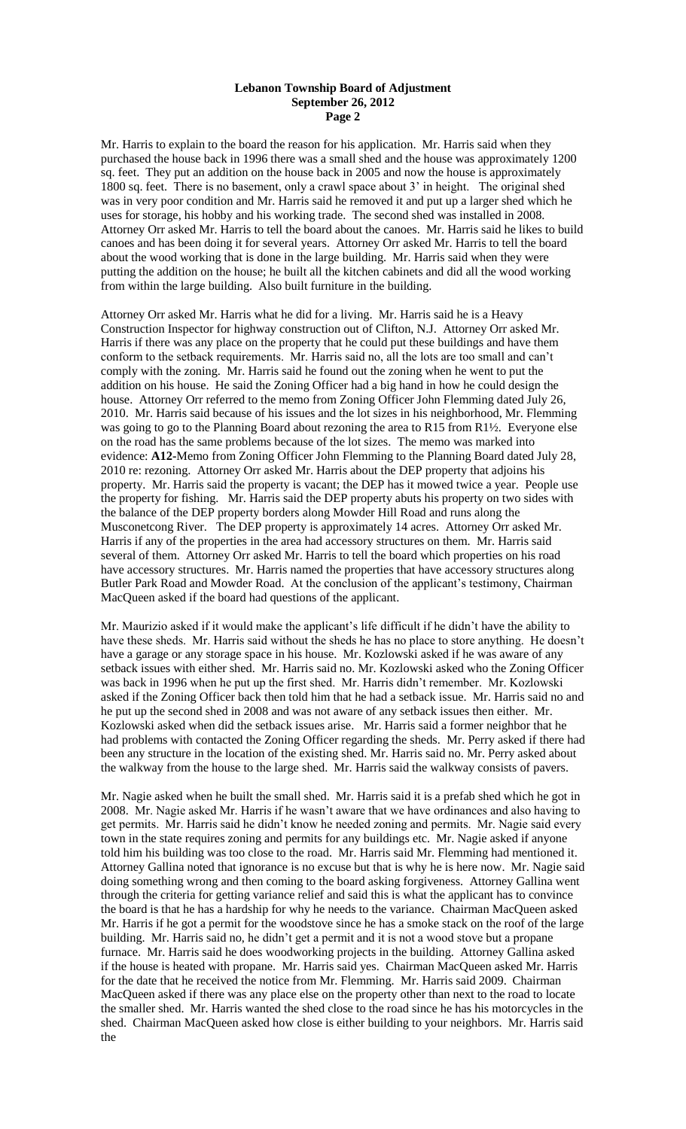Mr. Harris to explain to the board the reason for his application. Mr. Harris said when they purchased the house back in 1996 there was a small shed and the house was approximately 1200 sq. feet. They put an addition on the house back in 2005 and now the house is approximately 1800 sq. feet. There is no basement, only a crawl space about 3' in height. The original shed was in very poor condition and Mr. Harris said he removed it and put up a larger shed which he uses for storage, his hobby and his working trade. The second shed was installed in 2008. Attorney Orr asked Mr. Harris to tell the board about the canoes. Mr. Harris said he likes to build canoes and has been doing it for several years. Attorney Orr asked Mr. Harris to tell the board about the wood working that is done in the large building. Mr. Harris said when they were putting the addition on the house; he built all the kitchen cabinets and did all the wood working from within the large building. Also built furniture in the building.

Attorney Orr asked Mr. Harris what he did for a living. Mr. Harris said he is a Heavy Construction Inspector for highway construction out of Clifton, N.J. Attorney Orr asked Mr. Harris if there was any place on the property that he could put these buildings and have them conform to the setback requirements. Mr. Harris said no, all the lots are too small and can't comply with the zoning. Mr. Harris said he found out the zoning when he went to put the addition on his house. He said the Zoning Officer had a big hand in how he could design the house. Attorney Orr referred to the memo from Zoning Officer John Flemming dated July 26, 2010. Mr. Harris said because of his issues and the lot sizes in his neighborhood, Mr. Flemming was going to go to the Planning Board about rezoning the area to R15 from R1½. Everyone else on the road has the same problems because of the lot sizes. The memo was marked into evidence: **A12-**Memo from Zoning Officer John Flemming to the Planning Board dated July 28, 2010 re: rezoning. Attorney Orr asked Mr. Harris about the DEP property that adjoins his property. Mr. Harris said the property is vacant; the DEP has it mowed twice a year. People use the property for fishing. Mr. Harris said the DEP property abuts his property on two sides with the balance of the DEP property borders along Mowder Hill Road and runs along the Musconetcong River. The DEP property is approximately 14 acres. Attorney Orr asked Mr. Harris if any of the properties in the area had accessory structures on them. Mr. Harris said several of them. Attorney Orr asked Mr. Harris to tell the board which properties on his road have accessory structures. Mr. Harris named the properties that have accessory structures along Butler Park Road and Mowder Road. At the conclusion of the applicant's testimony, Chairman MacQueen asked if the board had questions of the applicant.

Mr. Maurizio asked if it would make the applicant's life difficult if he didn't have the ability to have these sheds. Mr. Harris said without the sheds he has no place to store anything. He doesn't have a garage or any storage space in his house. Mr. Kozlowski asked if he was aware of any setback issues with either shed. Mr. Harris said no. Mr. Kozlowski asked who the Zoning Officer was back in 1996 when he put up the first shed. Mr. Harris didn't remember. Mr. Kozlowski asked if the Zoning Officer back then told him that he had a setback issue. Mr. Harris said no and he put up the second shed in 2008 and was not aware of any setback issues then either. Mr. Kozlowski asked when did the setback issues arise. Mr. Harris said a former neighbor that he had problems with contacted the Zoning Officer regarding the sheds. Mr. Perry asked if there had been any structure in the location of the existing shed. Mr. Harris said no. Mr. Perry asked about the walkway from the house to the large shed. Mr. Harris said the walkway consists of pavers.

Mr. Nagie asked when he built the small shed. Mr. Harris said it is a prefab shed which he got in 2008. Mr. Nagie asked Mr. Harris if he wasn't aware that we have ordinances and also having to get permits. Mr. Harris said he didn't know he needed zoning and permits. Mr. Nagie said every town in the state requires zoning and permits for any buildings etc. Mr. Nagie asked if anyone told him his building was too close to the road. Mr. Harris said Mr. Flemming had mentioned it. Attorney Gallina noted that ignorance is no excuse but that is why he is here now. Mr. Nagie said doing something wrong and then coming to the board asking forgiveness. Attorney Gallina went through the criteria for getting variance relief and said this is what the applicant has to convince the board is that he has a hardship for why he needs to the variance. Chairman MacQueen asked Mr. Harris if he got a permit for the woodstove since he has a smoke stack on the roof of the large building. Mr. Harris said no, he didn't get a permit and it is not a wood stove but a propane furnace. Mr. Harris said he does woodworking projects in the building. Attorney Gallina asked if the house is heated with propane. Mr. Harris said yes. Chairman MacQueen asked Mr. Harris for the date that he received the notice from Mr. Flemming. Mr. Harris said 2009. Chairman MacQueen asked if there was any place else on the property other than next to the road to locate the smaller shed. Mr. Harris wanted the shed close to the road since he has his motorcycles in the shed. Chairman MacQueen asked how close is either building to your neighbors. Mr. Harris said the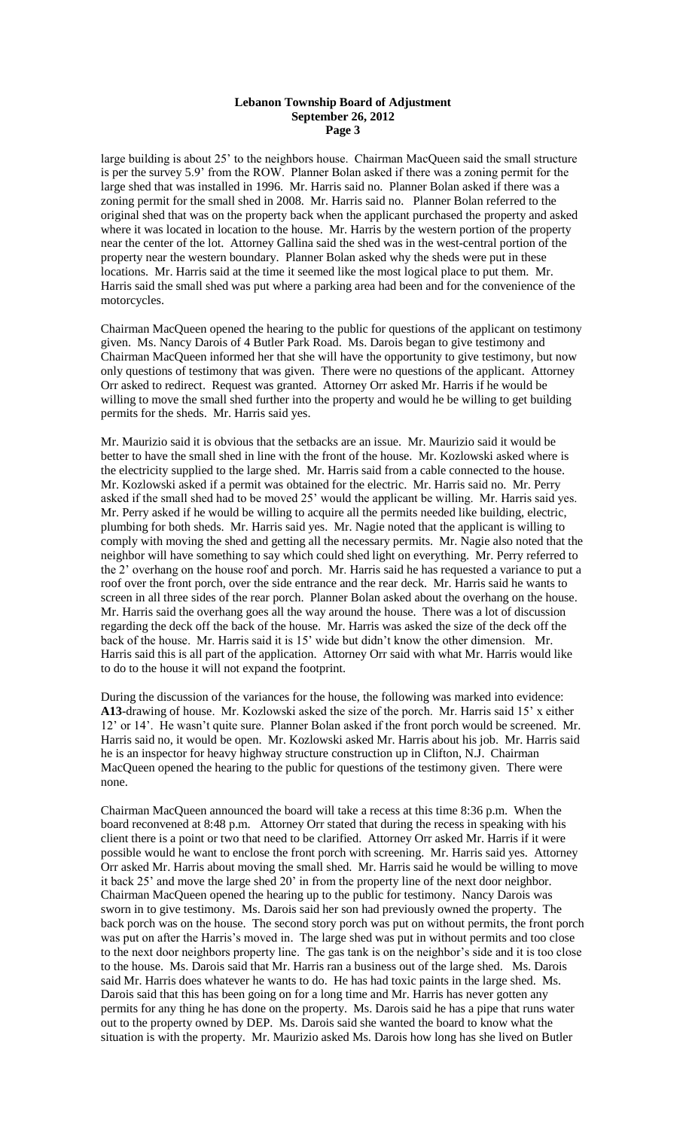large building is about 25' to the neighbors house. Chairman MacQueen said the small structure is per the survey 5.9' from the ROW. Planner Bolan asked if there was a zoning permit for the large shed that was installed in 1996. Mr. Harris said no. Planner Bolan asked if there was a zoning permit for the small shed in 2008. Mr. Harris said no. Planner Bolan referred to the original shed that was on the property back when the applicant purchased the property and asked where it was located in location to the house. Mr. Harris by the western portion of the property near the center of the lot. Attorney Gallina said the shed was in the west-central portion of the property near the western boundary. Planner Bolan asked why the sheds were put in these locations. Mr. Harris said at the time it seemed like the most logical place to put them. Mr. Harris said the small shed was put where a parking area had been and for the convenience of the motorcycles.

Chairman MacQueen opened the hearing to the public for questions of the applicant on testimony given. Ms. Nancy Darois of 4 Butler Park Road. Ms. Darois began to give testimony and Chairman MacQueen informed her that she will have the opportunity to give testimony, but now only questions of testimony that was given. There were no questions of the applicant. Attorney Orr asked to redirect. Request was granted. Attorney Orr asked Mr. Harris if he would be willing to move the small shed further into the property and would he be willing to get building permits for the sheds. Mr. Harris said yes.

Mr. Maurizio said it is obvious that the setbacks are an issue. Mr. Maurizio said it would be better to have the small shed in line with the front of the house. Mr. Kozlowski asked where is the electricity supplied to the large shed. Mr. Harris said from a cable connected to the house. Mr. Kozlowski asked if a permit was obtained for the electric. Mr. Harris said no. Mr. Perry asked if the small shed had to be moved 25' would the applicant be willing. Mr. Harris said yes. Mr. Perry asked if he would be willing to acquire all the permits needed like building, electric, plumbing for both sheds. Mr. Harris said yes. Mr. Nagie noted that the applicant is willing to comply with moving the shed and getting all the necessary permits. Mr. Nagie also noted that the neighbor will have something to say which could shed light on everything. Mr. Perry referred to the 2' overhang on the house roof and porch. Mr. Harris said he has requested a variance to put a roof over the front porch, over the side entrance and the rear deck. Mr. Harris said he wants to screen in all three sides of the rear porch. Planner Bolan asked about the overhang on the house. Mr. Harris said the overhang goes all the way around the house. There was a lot of discussion regarding the deck off the back of the house. Mr. Harris was asked the size of the deck off the back of the house. Mr. Harris said it is 15' wide but didn't know the other dimension. Mr. Harris said this is all part of the application. Attorney Orr said with what Mr. Harris would like to do to the house it will not expand the footprint.

During the discussion of the variances for the house, the following was marked into evidence: **A13**-drawing of house. Mr. Kozlowski asked the size of the porch. Mr. Harris said 15' x either 12' or 14'. He wasn't quite sure. Planner Bolan asked if the front porch would be screened. Mr. Harris said no, it would be open. Mr. Kozlowski asked Mr. Harris about his job. Mr. Harris said he is an inspector for heavy highway structure construction up in Clifton, N.J. Chairman MacQueen opened the hearing to the public for questions of the testimony given. There were none.

Chairman MacQueen announced the board will take a recess at this time 8:36 p.m. When the board reconvened at 8:48 p.m. Attorney Orr stated that during the recess in speaking with his client there is a point or two that need to be clarified. Attorney Orr asked Mr. Harris if it were possible would he want to enclose the front porch with screening. Mr. Harris said yes. Attorney Orr asked Mr. Harris about moving the small shed. Mr. Harris said he would be willing to move it back 25' and move the large shed 20' in from the property line of the next door neighbor. Chairman MacQueen opened the hearing up to the public for testimony. Nancy Darois was sworn in to give testimony. Ms. Darois said her son had previously owned the property. The back porch was on the house. The second story porch was put on without permits, the front porch was put on after the Harris's moved in. The large shed was put in without permits and too close to the next door neighbors property line. The gas tank is on the neighbor's side and it is too close to the house. Ms. Darois said that Mr. Harris ran a business out of the large shed. Ms. Darois said Mr. Harris does whatever he wants to do. He has had toxic paints in the large shed. Ms. Darois said that this has been going on for a long time and Mr. Harris has never gotten any permits for any thing he has done on the property. Ms. Darois said he has a pipe that runs water out to the property owned by DEP. Ms. Darois said she wanted the board to know what the situation is with the property. Mr. Maurizio asked Ms. Darois how long has she lived on Butler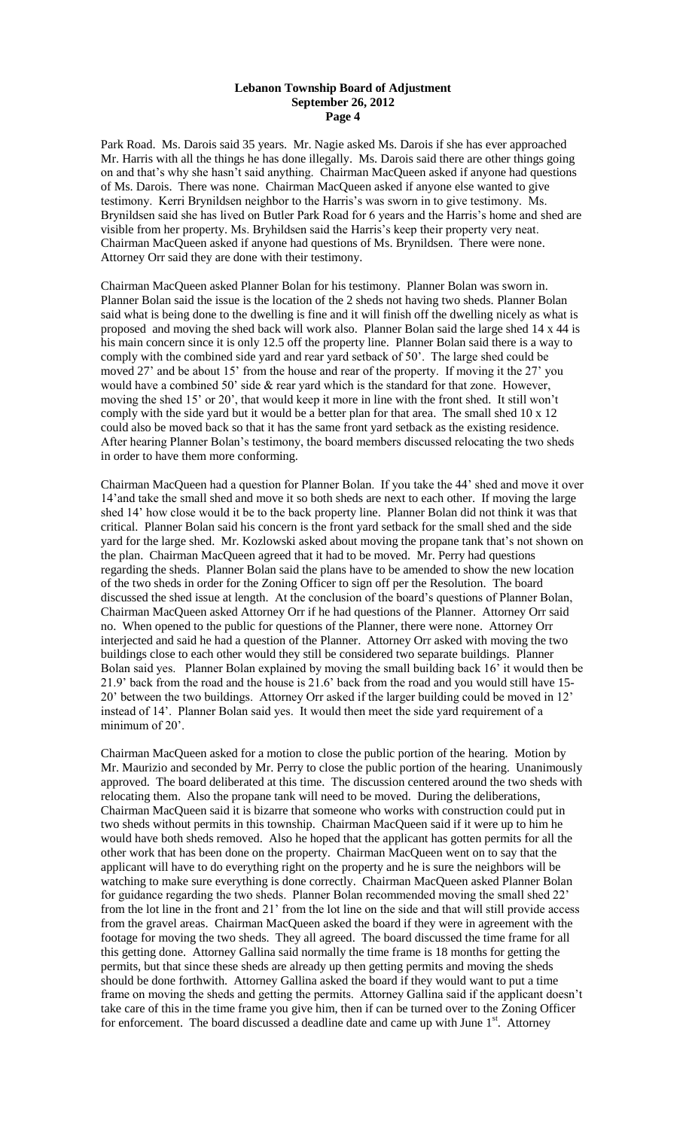Park Road. Ms. Darois said 35 years. Mr. Nagie asked Ms. Darois if she has ever approached Mr. Harris with all the things he has done illegally. Ms. Darois said there are other things going on and that's why she hasn't said anything. Chairman MacQueen asked if anyone had questions of Ms. Darois. There was none. Chairman MacQueen asked if anyone else wanted to give testimony. Kerri Brynildsen neighbor to the Harris's was sworn in to give testimony. Ms. Brynildsen said she has lived on Butler Park Road for 6 years and the Harris's home and shed are visible from her property. Ms. Bryhildsen said the Harris's keep their property very neat. Chairman MacQueen asked if anyone had questions of Ms. Brynildsen. There were none. Attorney Orr said they are done with their testimony.

Chairman MacQueen asked Planner Bolan for his testimony. Planner Bolan was sworn in. Planner Bolan said the issue is the location of the 2 sheds not having two sheds. Planner Bolan said what is being done to the dwelling is fine and it will finish off the dwelling nicely as what is proposed and moving the shed back will work also. Planner Bolan said the large shed 14 x 44 is his main concern since it is only 12.5 off the property line. Planner Bolan said there is a way to comply with the combined side yard and rear yard setback of 50'. The large shed could be moved 27' and be about 15' from the house and rear of the property. If moving it the 27' you would have a combined 50' side & rear yard which is the standard for that zone. However, moving the shed 15' or 20', that would keep it more in line with the front shed. It still won't comply with the side yard but it would be a better plan for that area. The small shed 10 x 12 could also be moved back so that it has the same front yard setback as the existing residence. After hearing Planner Bolan's testimony, the board members discussed relocating the two sheds in order to have them more conforming.

Chairman MacQueen had a question for Planner Bolan. If you take the 44' shed and move it over 14'and take the small shed and move it so both sheds are next to each other. If moving the large shed 14' how close would it be to the back property line. Planner Bolan did not think it was that critical. Planner Bolan said his concern is the front yard setback for the small shed and the side yard for the large shed. Mr. Kozlowski asked about moving the propane tank that's not shown on the plan. Chairman MacQueen agreed that it had to be moved. Mr. Perry had questions regarding the sheds. Planner Bolan said the plans have to be amended to show the new location of the two sheds in order for the Zoning Officer to sign off per the Resolution. The board discussed the shed issue at length. At the conclusion of the board's questions of Planner Bolan, Chairman MacQueen asked Attorney Orr if he had questions of the Planner. Attorney Orr said no. When opened to the public for questions of the Planner, there were none. Attorney Orr interjected and said he had a question of the Planner. Attorney Orr asked with moving the two buildings close to each other would they still be considered two separate buildings. Planner Bolan said yes. Planner Bolan explained by moving the small building back 16' it would then be 21.9' back from the road and the house is 21.6' back from the road and you would still have 15- 20' between the two buildings. Attorney Orr asked if the larger building could be moved in 12' instead of 14'. Planner Bolan said yes. It would then meet the side yard requirement of a minimum of 20'.

Chairman MacQueen asked for a motion to close the public portion of the hearing. Motion by Mr. Maurizio and seconded by Mr. Perry to close the public portion of the hearing. Unanimously approved. The board deliberated at this time. The discussion centered around the two sheds with relocating them. Also the propane tank will need to be moved. During the deliberations, Chairman MacQueen said it is bizarre that someone who works with construction could put in two sheds without permits in this township. Chairman MacQueen said if it were up to him he would have both sheds removed. Also he hoped that the applicant has gotten permits for all the other work that has been done on the property. Chairman MacQueen went on to say that the applicant will have to do everything right on the property and he is sure the neighbors will be watching to make sure everything is done correctly. Chairman MacQueen asked Planner Bolan for guidance regarding the two sheds. Planner Bolan recommended moving the small shed 22' from the lot line in the front and 21' from the lot line on the side and that will still provide access from the gravel areas. Chairman MacQueen asked the board if they were in agreement with the footage for moving the two sheds. They all agreed. The board discussed the time frame for all this getting done. Attorney Gallina said normally the time frame is 18 months for getting the permits, but that since these sheds are already up then getting permits and moving the sheds should be done forthwith. Attorney Gallina asked the board if they would want to put a time frame on moving the sheds and getting the permits. Attorney Gallina said if the applicant doesn't take care of this in the time frame you give him, then if can be turned over to the Zoning Officer for enforcement. The board discussed a deadline date and came up with June  $1<sup>st</sup>$ . Attorney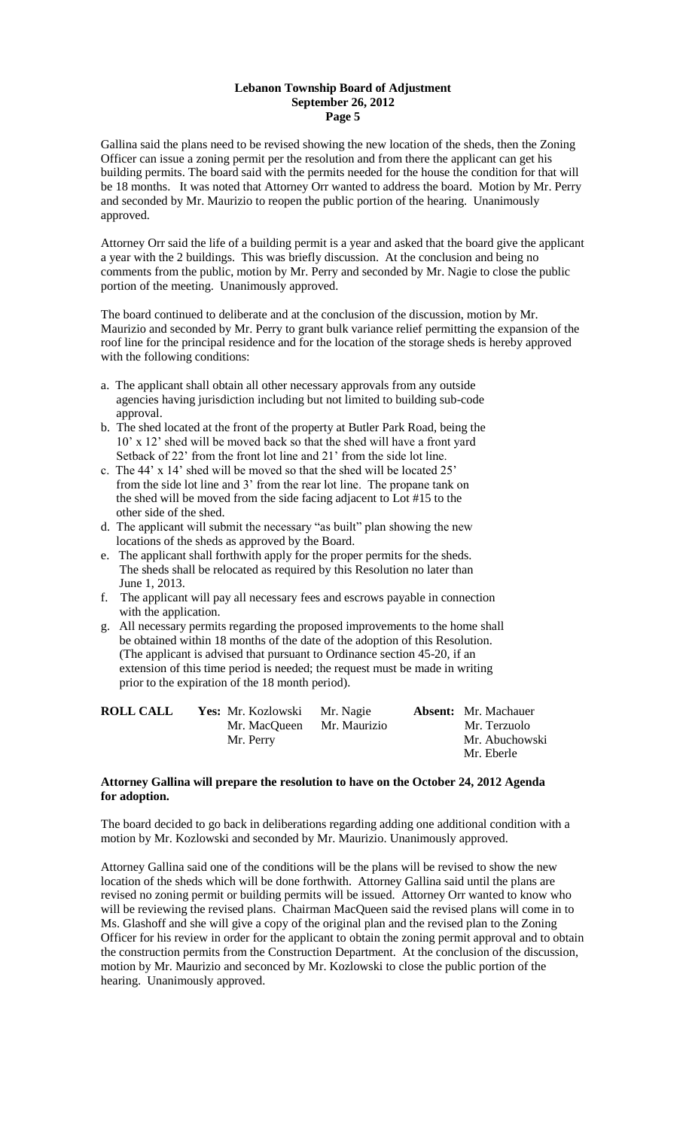Gallina said the plans need to be revised showing the new location of the sheds, then the Zoning Officer can issue a zoning permit per the resolution and from there the applicant can get his building permits. The board said with the permits needed for the house the condition for that will be 18 months. It was noted that Attorney Orr wanted to address the board. Motion by Mr. Perry and seconded by Mr. Maurizio to reopen the public portion of the hearing. Unanimously approved.

Attorney Orr said the life of a building permit is a year and asked that the board give the applicant a year with the 2 buildings. This was briefly discussion. At the conclusion and being no comments from the public, motion by Mr. Perry and seconded by Mr. Nagie to close the public portion of the meeting. Unanimously approved.

The board continued to deliberate and at the conclusion of the discussion, motion by Mr. Maurizio and seconded by Mr. Perry to grant bulk variance relief permitting the expansion of the roof line for the principal residence and for the location of the storage sheds is hereby approved with the following conditions:

- a. The applicant shall obtain all other necessary approvals from any outside agencies having jurisdiction including but not limited to building sub-code approval.
- b. The shed located at the front of the property at Butler Park Road, being the 10' x 12' shed will be moved back so that the shed will have a front yard Setback of 22' from the front lot line and 21' from the side lot line.
- c. The 44' x 14' shed will be moved so that the shed will be located 25' from the side lot line and 3' from the rear lot line. The propane tank on the shed will be moved from the side facing adjacent to Lot #15 to the other side of the shed.
- d. The applicant will submit the necessary "as built" plan showing the new locations of the sheds as approved by the Board.
- e. The applicant shall forthwith apply for the proper permits for the sheds. The sheds shall be relocated as required by this Resolution no later than June 1, 2013.
- f. The applicant will pay all necessary fees and escrows payable in connection with the application.
- g. All necessary permits regarding the proposed improvements to the home shall be obtained within 18 months of the date of the adoption of this Resolution. (The applicant is advised that pursuant to Ordinance section 45-20, if an extension of this time period is needed; the request must be made in writing prior to the expiration of the 18 month period).

| <b>ROLL CALL</b> | <b>Yes:</b> Mr. Kozlowski Mr. Nagie |  | <b>Absent:</b> Mr. Machauer |
|------------------|-------------------------------------|--|-----------------------------|
|                  | Mr. MacQueen Mr. Maurizio           |  | Mr. Terzuolo                |
|                  | Mr. Perry                           |  | Mr. Abuchowski              |
|                  |                                     |  | Mr. Eberle                  |

# **Attorney Gallina will prepare the resolution to have on the October 24, 2012 Agenda for adoption.**

The board decided to go back in deliberations regarding adding one additional condition with a motion by Mr. Kozlowski and seconded by Mr. Maurizio. Unanimously approved.

Attorney Gallina said one of the conditions will be the plans will be revised to show the new location of the sheds which will be done forthwith. Attorney Gallina said until the plans are revised no zoning permit or building permits will be issued. Attorney Orr wanted to know who will be reviewing the revised plans. Chairman MacQueen said the revised plans will come in to Ms. Glashoff and she will give a copy of the original plan and the revised plan to the Zoning Officer for his review in order for the applicant to obtain the zoning permit approval and to obtain the construction permits from the Construction Department. At the conclusion of the discussion, motion by Mr. Maurizio and seconced by Mr. Kozlowski to close the public portion of the hearing. Unanimously approved.